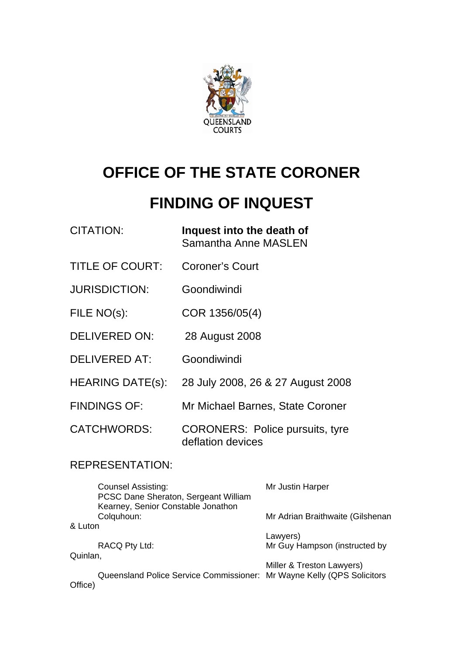

# **OFFICE OF THE STATE CORONER**

# **FINDING OF INQUEST**

| <b>CITATION:</b>        | Inquest into the death of<br><b>Samantha Anne MASLEN</b>    |
|-------------------------|-------------------------------------------------------------|
| <b>TITLE OF COURT:</b>  | <b>Coroner's Court</b>                                      |
| <b>JURISDICTION:</b>    | Goondiwindi                                                 |
| FILE NO(s):             | COR 1356/05(4)                                              |
| <b>DELIVERED ON:</b>    | 28 August 2008                                              |
| <b>DELIVERED AT:</b>    | Goondiwindi                                                 |
| <b>HEARING DATE(s):</b> | 28 July 2008, 26 & 27 August 2008                           |
| <b>FINDINGS OF:</b>     | Mr Michael Barnes, State Coroner                            |
| <b>CATCHWORDS:</b>      | <b>CORONERS: Police pursuits, tyre</b><br>deflation devices |

# REPRESENTATION:

| Mr Justin Harper                                                                                    |
|-----------------------------------------------------------------------------------------------------|
| Mr Adrian Braithwaite (Gilshenan                                                                    |
|                                                                                                     |
| Lawyers)<br>Mr Guy Hampson (instructed by                                                           |
|                                                                                                     |
| Miller & Treston Lawyers)<br>Queensland Police Service Commissioner: Mr Wayne Kelly (QPS Solicitors |
|                                                                                                     |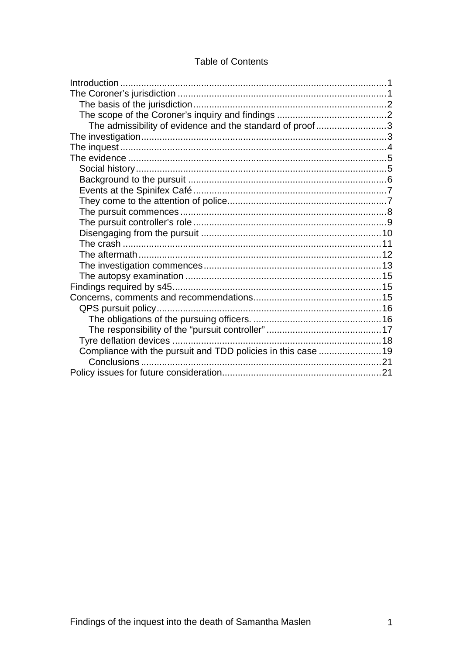#### **Table of Contents**

| The admissibility of evidence and the standard of proof3      |  |
|---------------------------------------------------------------|--|
|                                                               |  |
|                                                               |  |
|                                                               |  |
|                                                               |  |
|                                                               |  |
|                                                               |  |
|                                                               |  |
|                                                               |  |
|                                                               |  |
|                                                               |  |
|                                                               |  |
|                                                               |  |
|                                                               |  |
|                                                               |  |
|                                                               |  |
|                                                               |  |
|                                                               |  |
|                                                               |  |
|                                                               |  |
|                                                               |  |
| Compliance with the pursuit and TDD policies in this case  19 |  |
|                                                               |  |
|                                                               |  |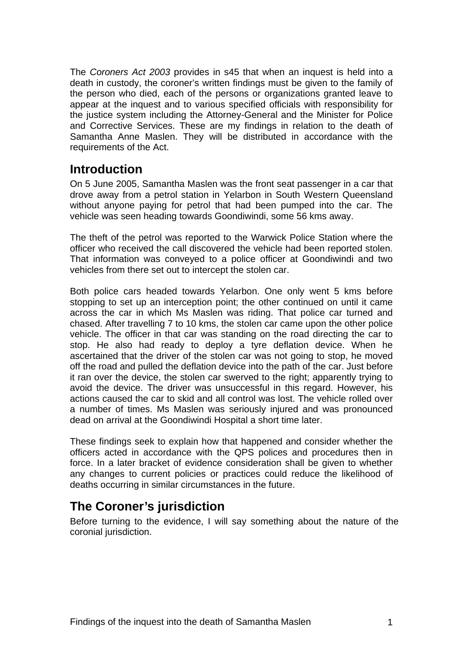<span id="page-2-0"></span>The *Coroners Act 2003* provides in s45 that when an inquest is held into a death in custody, the coroner's written findings must be given to the family of the person who died, each of the persons or organizations granted leave to appear at the inquest and to various specified officials with responsibility for the justice system including the Attorney-General and the Minister for Police and Corrective Services. These are my findings in relation to the death of Samantha Anne Maslen. They will be distributed in accordance with the requirements of the Act.

# **Introduction**

On 5 June 2005, Samantha Maslen was the front seat passenger in a car that drove away from a petrol station in Yelarbon in South Western Queensland without anyone paying for petrol that had been pumped into the car. The vehicle was seen heading towards Goondiwindi, some 56 kms away.

The theft of the petrol was reported to the Warwick Police Station where the officer who received the call discovered the vehicle had been reported stolen. That information was conveyed to a police officer at Goondiwindi and two vehicles from there set out to intercept the stolen car.

Both police cars headed towards Yelarbon. One only went 5 kms before stopping to set up an interception point; the other continued on until it came across the car in which Ms Maslen was riding. That police car turned and chased. After travelling 7 to 10 kms, the stolen car came upon the other police vehicle. The officer in that car was standing on the road directing the car to stop. He also had ready to deploy a tyre deflation device. When he ascertained that the driver of the stolen car was not going to stop, he moved off the road and pulled the deflation device into the path of the car. Just before it ran over the device, the stolen car swerved to the right; apparently trying to avoid the device. The driver was unsuccessful in this regard. However, his actions caused the car to skid and all control was lost. The vehicle rolled over a number of times. Ms Maslen was seriously injured and was pronounced dead on arrival at the Goondiwindi Hospital a short time later.

These findings seek to explain how that happened and consider whether the officers acted in accordance with the QPS polices and procedures then in force. In a later bracket of evidence consideration shall be given to whether any changes to current policies or practices could reduce the likelihood of deaths occurring in similar circumstances in the future.

# **The Coroner's jurisdiction**

Before turning to the evidence, I will say something about the nature of the coronial jurisdiction.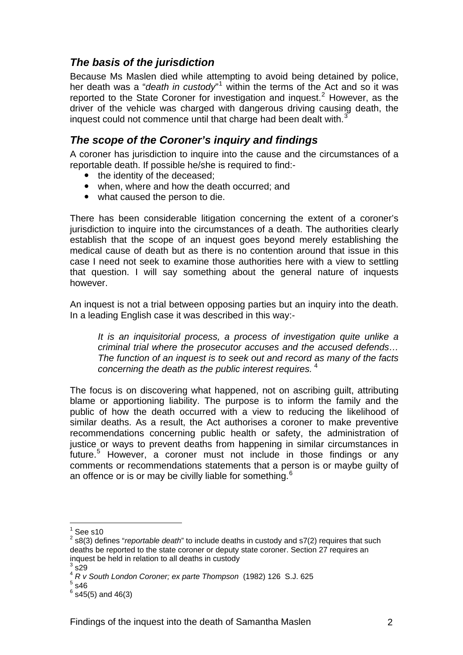## <span id="page-3-0"></span>*The basis of the jurisdiction*

Because Ms Maslen died while attempting to avoid being detained by police, her death was a "*death in custody*"<sup>[1](#page-3-1)</sup> within the terms of the Act and so it was reported to the State Coroner for investigation and inquest.<sup>[2](#page-3-2)</sup> However, as the driver of the vehicle was charged with dangerous driving causing death, the inquest could not commence until that charge had been dealt with. $3$ 

### *The scope of the Coroner's inquiry and findings*

A coroner has jurisdiction to inquire into the cause and the circumstances of a reportable death. If possible he/she is required to find:-

- the identity of the deceased:
- when, where and how the death occurred; and
- what caused the person to die.

There has been considerable litigation concerning the extent of a coroner's jurisdiction to inquire into the circumstances of a death. The authorities clearly establish that the scope of an inquest goes beyond merely establishing the medical cause of death but as there is no contention around that issue in this case I need not seek to examine those authorities here with a view to settling that question. I will say something about the general nature of inquests however.

An inquest is not a trial between opposing parties but an inquiry into the death. In a leading English case it was described in this way:-

*It is an inquisitorial process, a process of investigation quite unlike a criminal trial where the prosecutor accuses and the accused defends… The function of an inquest is to seek out and record as many of the facts concerning the death as the public interest requires.* [4](#page-3-4)

The focus is on discovering what happened, not on ascribing guilt, attributing blame or apportioning liability. The purpose is to inform the family and the public of how the death occurred with a view to reducing the likelihood of similar deaths. As a result, the Act authorises a coroner to make preventive recommendations concerning public health or safety, the administration of justice or ways to prevent deaths from happening in similar circumstances in future.<sup>[5](#page-3-5)</sup> However, a coroner must not include in those findings or any comments or recommendations statements that a person is or maybe guilty of an offence or is or may be civilly liable for something.  $6<sup>6</sup>$ 

<u>.</u>

 $1$  See s10

<span id="page-3-2"></span><span id="page-3-1"></span><sup>2</sup> s8(3) defines "*reportable death*" to include deaths in custody and s7(2) requires that such deaths be reported to the state coroner or deputy state coroner. Section 27 requires an inquest be held in relation to all deaths in custody

 $3\overline{\text{s}}$ 29

<span id="page-3-3"></span><sup>4</sup> *R v South London Coroner; ex parte Thompson* (1982) 126 S.J. 625 5

<span id="page-3-5"></span><span id="page-3-4"></span> $5.46$ 

 $<sup>6</sup>$  s45(5) and 46(3)</sup>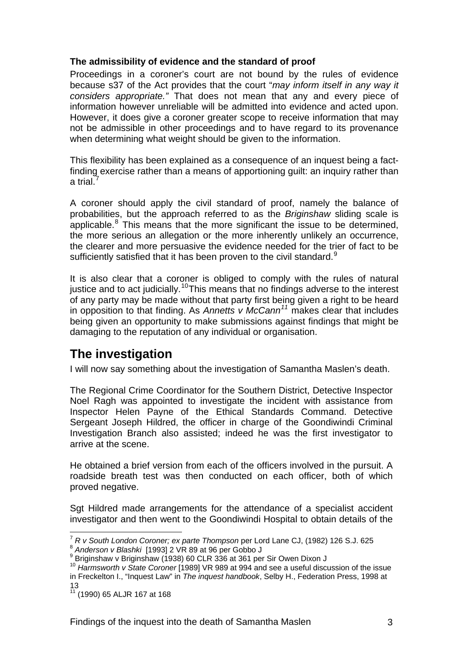#### <span id="page-4-0"></span>**The admissibility of evidence and the standard of proof**

Proceedings in a coroner's court are not bound by the rules of evidence because s37 of the Act provides that the court "*may inform itself in any way it considers appropriate."* That does not mean that any and every piece of information however unreliable will be admitted into evidence and acted upon. However, it does give a coroner greater scope to receive information that may not be admissible in other proceedings and to have regard to its provenance when determining what weight should be given to the information.

This flexibility has been explained as a consequence of an inquest being a factfinding exercise rather than a means of apportioning guilt: an inquiry rather than a trial. $^7$  $^7$ 

A coroner should apply the civil standard of proof, namely the balance of probabilities, but the approach referred to as the *Briginshaw* sliding scale is applicable. $8$  This means that the more significant the issue to be determined, the more serious an allegation or the more inherently unlikely an occurrence, the clearer and more persuasive the evidence needed for the trier of fact to be sufficiently satisfied that it has been proven to the civil standard. $9$ 

It is also clear that a coroner is obliged to comply with the rules of natural justice and to act judicially.<sup>[10](#page-4-4)</sup>This means that no findings adverse to the interest of any party may be made without that party first being given a right to be heard in opposition to that finding. As *Annetts v McCann[11](#page-4-5)* makes clear that includes being given an opportunity to make submissions against findings that might be damaging to the reputation of any individual or organisation.

# **The investigation**

I will now say something about the investigation of Samantha Maslen's death.

The Regional Crime Coordinator for the Southern District, Detective Inspector Noel Ragh was appointed to investigate the incident with assistance from Inspector Helen Payne of the Ethical Standards Command. Detective Sergeant Joseph Hildred, the officer in charge of the Goondiwindi Criminal Investigation Branch also assisted; indeed he was the first investigator to arrive at the scene.

He obtained a brief version from each of the officers involved in the pursuit. A roadside breath test was then conducted on each officer, both of which proved negative.

Sgt Hildred made arrangements for the attendance of a specialist accident investigator and then went to the Goondiwindi Hospital to obtain details of the

<sup>1</sup> <sup>7</sup> *R v South London Coroner; ex parte Thompson* per Lord Lane CJ, (1982) 126 S.J. 625<br><sup>8</sup> Anderson v Blashki [1993] 2 VR 89 at 96 per Gobbo J<br><sup>9</sup> Priginshow y Briginshow (1938) 60 CLB 336 at 361 per Sir Quen Diven J

<span id="page-4-1"></span>

<span id="page-4-3"></span><span id="page-4-2"></span><sup>&</sup>lt;sup>9</sup> Briginshaw v Briginshaw (1938) 60 CLR 336 at 361 per Sir Owen Dixon J

<span id="page-4-4"></span><sup>10</sup> *Harmsworth v State Coroner* [1989] VR 989 at 994 and see a useful discussion of the issue in Freckelton I., "Inquest Law" in *The inquest handbook*, Selby H., Federation Press, 1998 at 13

<span id="page-4-5"></span><sup>11 (1990) 65</sup> ALJR 167 at 168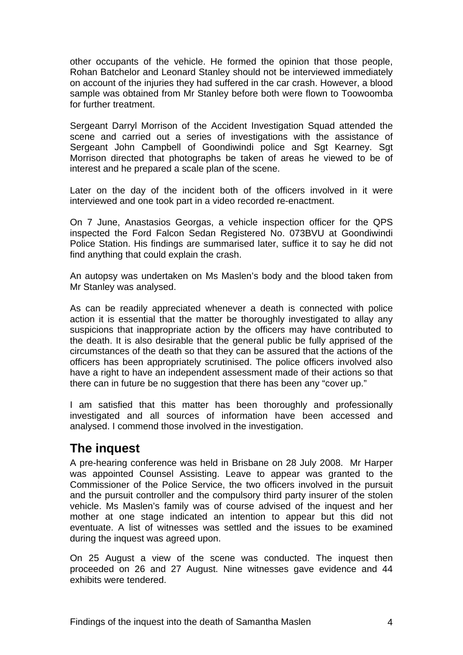<span id="page-5-0"></span>other occupants of the vehicle. He formed the opinion that those people, Rohan Batchelor and Leonard Stanley should not be interviewed immediately on account of the injuries they had suffered in the car crash. However, a blood sample was obtained from Mr Stanley before both were flown to Toowoomba for further treatment.

Sergeant Darryl Morrison of the Accident Investigation Squad attended the scene and carried out a series of investigations with the assistance of Sergeant John Campbell of Goondiwindi police and Sgt Kearney. Sgt Morrison directed that photographs be taken of areas he viewed to be of interest and he prepared a scale plan of the scene.

Later on the day of the incident both of the officers involved in it were interviewed and one took part in a video recorded re-enactment.

On 7 June, Anastasios Georgas, a vehicle inspection officer for the QPS inspected the Ford Falcon Sedan Registered No. 073BVU at Goondiwindi Police Station. His findings are summarised later, suffice it to say he did not find anything that could explain the crash.

An autopsy was undertaken on Ms Maslen's body and the blood taken from Mr Stanley was analysed.

As can be readily appreciated whenever a death is connected with police action it is essential that the matter be thoroughly investigated to allay any suspicions that inappropriate action by the officers may have contributed to the death. It is also desirable that the general public be fully apprised of the circumstances of the death so that they can be assured that the actions of the officers has been appropriately scrutinised. The police officers involved also have a right to have an independent assessment made of their actions so that there can in future be no suggestion that there has been any "cover up."

I am satisfied that this matter has been thoroughly and professionally investigated and all sources of information have been accessed and analysed. I commend those involved in the investigation.

# **The inquest**

A pre-hearing conference was held in Brisbane on 28 July 2008. Mr Harper was appointed Counsel Assisting. Leave to appear was granted to the Commissioner of the Police Service, the two officers involved in the pursuit and the pursuit controller and the compulsory third party insurer of the stolen vehicle. Ms Maslen's family was of course advised of the inquest and her mother at one stage indicated an intention to appear but this did not eventuate. A list of witnesses was settled and the issues to be examined during the inquest was agreed upon.

On 25 August a view of the scene was conducted. The inquest then proceeded on 26 and 27 August. Nine witnesses gave evidence and 44 exhibits were tendered.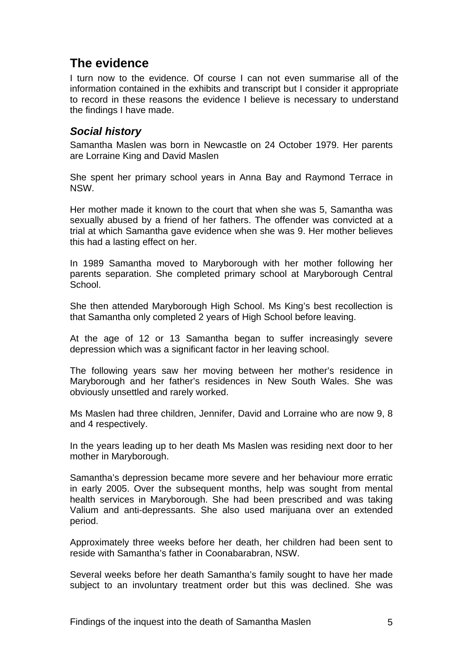# <span id="page-6-0"></span>**The evidence**

I turn now to the evidence. Of course I can not even summarise all of the information contained in the exhibits and transcript but I consider it appropriate to record in these reasons the evidence I believe is necessary to understand the findings I have made.

#### *Social history*

Samantha Maslen was born in Newcastle on 24 October 1979. Her parents are Lorraine King and David Maslen

She spent her primary school years in Anna Bay and Raymond Terrace in NSW.

Her mother made it known to the court that when she was 5, Samantha was sexually abused by a friend of her fathers. The offender was convicted at a trial at which Samantha gave evidence when she was 9. Her mother believes this had a lasting effect on her.

In 1989 Samantha moved to Maryborough with her mother following her parents separation. She completed primary school at Maryborough Central School.

She then attended Maryborough High School. Ms King's best recollection is that Samantha only completed 2 years of High School before leaving.

At the age of 12 or 13 Samantha began to suffer increasingly severe depression which was a significant factor in her leaving school.

The following years saw her moving between her mother's residence in Maryborough and her father's residences in New South Wales. She was obviously unsettled and rarely worked.

Ms Maslen had three children, Jennifer, David and Lorraine who are now 9, 8 and 4 respectively.

In the years leading up to her death Ms Maslen was residing next door to her mother in Maryborough.

Samantha's depression became more severe and her behaviour more erratic in early 2005. Over the subsequent months, help was sought from mental health services in Maryborough. She had been prescribed and was taking Valium and anti-depressants. She also used marijuana over an extended period.

Approximately three weeks before her death, her children had been sent to reside with Samantha's father in Coonabarabran, NSW.

Several weeks before her death Samantha's family sought to have her made subject to an involuntary treatment order but this was declined. She was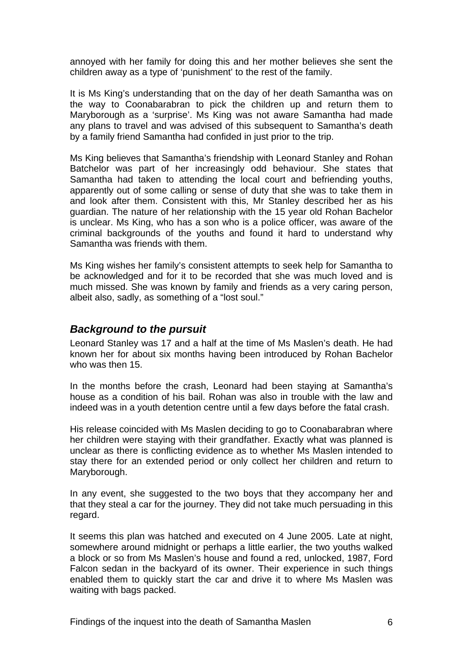<span id="page-7-0"></span>annoyed with her family for doing this and her mother believes she sent the children away as a type of 'punishment' to the rest of the family.

It is Ms King's understanding that on the day of her death Samantha was on the way to Coonabarabran to pick the children up and return them to Maryborough as a 'surprise'. Ms King was not aware Samantha had made any plans to travel and was advised of this subsequent to Samantha's death by a family friend Samantha had confided in just prior to the trip.

Ms King believes that Samantha's friendship with Leonard Stanley and Rohan Batchelor was part of her increasingly odd behaviour. She states that Samantha had taken to attending the local court and befriending youths, apparently out of some calling or sense of duty that she was to take them in and look after them. Consistent with this, Mr Stanley described her as his guardian. The nature of her relationship with the 15 year old Rohan Bachelor is unclear. Ms King, who has a son who is a police officer, was aware of the criminal backgrounds of the youths and found it hard to understand why Samantha was friends with them.

Ms King wishes her family's consistent attempts to seek help for Samantha to be acknowledged and for it to be recorded that she was much loved and is much missed. She was known by family and friends as a very caring person, albeit also, sadly, as something of a "lost soul."

#### *Background to the pursuit*

Leonard Stanley was 17 and a half at the time of Ms Maslen's death. He had known her for about six months having been introduced by Rohan Bachelor who was then 15.

In the months before the crash, Leonard had been staying at Samantha's house as a condition of his bail. Rohan was also in trouble with the law and indeed was in a youth detention centre until a few days before the fatal crash.

His release coincided with Ms Maslen deciding to go to Coonabarabran where her children were staying with their grandfather. Exactly what was planned is unclear as there is conflicting evidence as to whether Ms Maslen intended to stay there for an extended period or only collect her children and return to Maryborough.

In any event, she suggested to the two boys that they accompany her and that they steal a car for the journey. They did not take much persuading in this regard.

It seems this plan was hatched and executed on 4 June 2005. Late at night, somewhere around midnight or perhaps a little earlier, the two youths walked a block or so from Ms Maslen's house and found a red, unlocked, 1987, Ford Falcon sedan in the backyard of its owner. Their experience in such things enabled them to quickly start the car and drive it to where Ms Maslen was waiting with bags packed.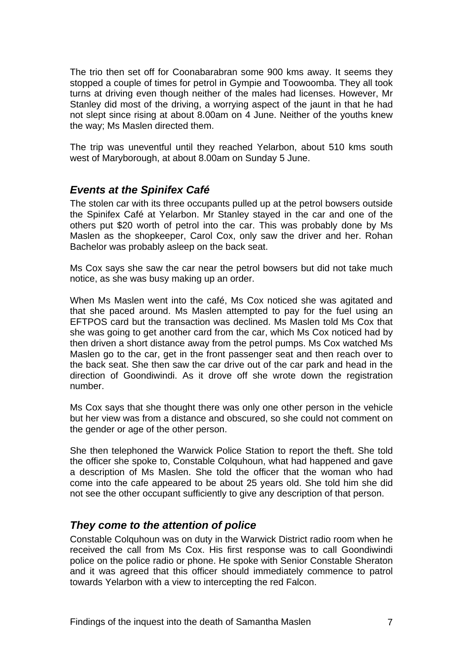<span id="page-8-0"></span>The trio then set off for Coonabarabran some 900 kms away. It seems they stopped a couple of times for petrol in Gympie and Toowoomba. They all took turns at driving even though neither of the males had licenses. However, Mr Stanley did most of the driving, a worrying aspect of the jaunt in that he had not slept since rising at about 8.00am on 4 June. Neither of the youths knew the way; Ms Maslen directed them.

The trip was uneventful until they reached Yelarbon, about 510 kms south west of Maryborough, at about 8.00am on Sunday 5 June.

#### *Events at the Spinifex Café*

The stolen car with its three occupants pulled up at the petrol bowsers outside the Spinifex Café at Yelarbon. Mr Stanley stayed in the car and one of the others put \$20 worth of petrol into the car. This was probably done by Ms Maslen as the shopkeeper, Carol Cox, only saw the driver and her. Rohan Bachelor was probably asleep on the back seat.

Ms Cox says she saw the car near the petrol bowsers but did not take much notice, as she was busy making up an order.

When Ms Maslen went into the café, Ms Cox noticed she was agitated and that she paced around. Ms Maslen attempted to pay for the fuel using an EFTPOS card but the transaction was declined. Ms Maslen told Ms Cox that she was going to get another card from the car, which Ms Cox noticed had by then driven a short distance away from the petrol pumps. Ms Cox watched Ms Maslen go to the car, get in the front passenger seat and then reach over to the back seat. She then saw the car drive out of the car park and head in the direction of Goondiwindi. As it drove off she wrote down the registration number.

Ms Cox says that she thought there was only one other person in the vehicle but her view was from a distance and obscured, so she could not comment on the gender or age of the other person.

She then telephoned the Warwick Police Station to report the theft. She told the officer she spoke to, Constable Colquhoun, what had happened and gave a description of Ms Maslen. She told the officer that the woman who had come into the cafe appeared to be about 25 years old. She told him she did not see the other occupant sufficiently to give any description of that person.

#### *They come to the attention of police*

Constable Colquhoun was on duty in the Warwick District radio room when he received the call from Ms Cox. His first response was to call Goondiwindi police on the police radio or phone. He spoke with Senior Constable Sheraton and it was agreed that this officer should immediately commence to patrol towards Yelarbon with a view to intercepting the red Falcon.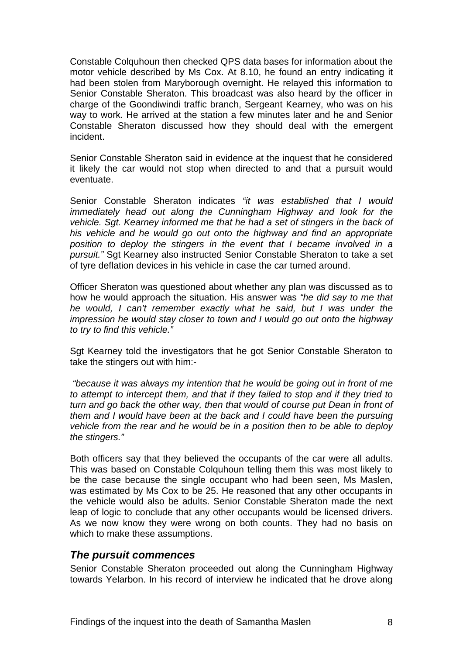<span id="page-9-0"></span>Constable Colquhoun then checked QPS data bases for information about the motor vehicle described by Ms Cox. At 8.10, he found an entry indicating it had been stolen from Maryborough overnight. He relayed this information to Senior Constable Sheraton. This broadcast was also heard by the officer in charge of the Goondiwindi traffic branch, Sergeant Kearney, who was on his way to work. He arrived at the station a few minutes later and he and Senior Constable Sheraton discussed how they should deal with the emergent incident.

Senior Constable Sheraton said in evidence at the inquest that he considered it likely the car would not stop when directed to and that a pursuit would eventuate.

Senior Constable Sheraton indicates *"it was established that I would immediately head out along the Cunningham Highway and look for the vehicle. Sgt. Kearney informed me that he had a set of stingers in the back of his vehicle and he would go out onto the highway and find an appropriate position to deploy the stingers in the event that I became involved in a pursuit."* Sgt Kearney also instructed Senior Constable Sheraton to take a set of tyre deflation devices in his vehicle in case the car turned around.

Officer Sheraton was questioned about whether any plan was discussed as to how he would approach the situation. His answer was *"he did say to me that he would, I can't remember exactly what he said, but I was under the impression he would stay closer to town and I would go out onto the highway to try to find this vehicle."*

Sgt Kearney told the investigators that he got Senior Constable Sheraton to take the stingers out with him:-

 *"because it was always my intention that he would be going out in front of me to attempt to intercept them, and that if they failed to stop and if they tried to*  turn and go back the other way, then that would of course put Dean in front of *them and I would have been at the back and I could have been the pursuing vehicle from the rear and he would be in a position then to be able to deploy the stingers."* 

Both officers say that they believed the occupants of the car were all adults. This was based on Constable Colquhoun telling them this was most likely to be the case because the single occupant who had been seen, Ms Maslen, was estimated by Ms Cox to be 25. He reasoned that any other occupants in the vehicle would also be adults. Senior Constable Sheraton made the next leap of logic to conclude that any other occupants would be licensed drivers. As we now know they were wrong on both counts. They had no basis on which to make these assumptions.

#### *The pursuit commences*

Senior Constable Sheraton proceeded out along the Cunningham Highway towards Yelarbon. In his record of interview he indicated that he drove along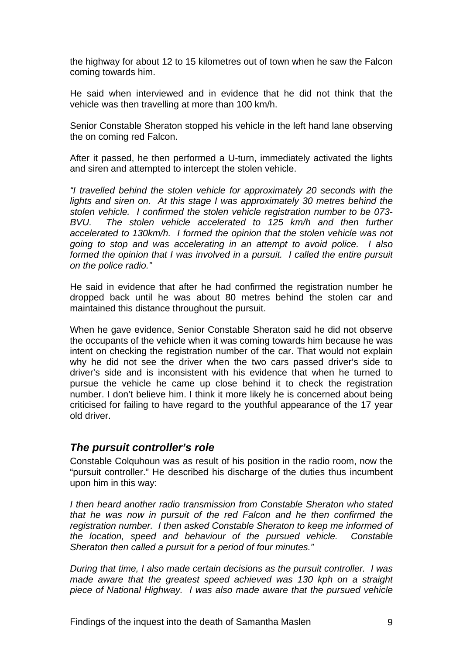<span id="page-10-0"></span>the highway for about 12 to 15 kilometres out of town when he saw the Falcon coming towards him.

He said when interviewed and in evidence that he did not think that the vehicle was then travelling at more than 100 km/h.

Senior Constable Sheraton stopped his vehicle in the left hand lane observing the on coming red Falcon.

After it passed, he then performed a U-turn, immediately activated the lights and siren and attempted to intercept the stolen vehicle.

*"I travelled behind the stolen vehicle for approximately 20 seconds with the*  lights and siren on. At this stage I was approximately 30 metres behind the *stolen vehicle. I confirmed the stolen vehicle registration number to be 073- BVU. The stolen vehicle accelerated to 125 km/h and then further accelerated to 130km/h. I formed the opinion that the stolen vehicle was not going to stop and was accelerating in an attempt to avoid police. I also formed the opinion that I was involved in a pursuit. I called the entire pursuit on the police radio."* 

He said in evidence that after he had confirmed the registration number he dropped back until he was about 80 metres behind the stolen car and maintained this distance throughout the pursuit.

When he gave evidence, Senior Constable Sheraton said he did not observe the occupants of the vehicle when it was coming towards him because he was intent on checking the registration number of the car. That would not explain why he did not see the driver when the two cars passed driver's side to driver's side and is inconsistent with his evidence that when he turned to pursue the vehicle he came up close behind it to check the registration number. I don't believe him. I think it more likely he is concerned about being criticised for failing to have regard to the youthful appearance of the 17 year old driver.

#### *The pursuit controller's role*

Constable Colquhoun was as result of his position in the radio room, now the "pursuit controller." He described his discharge of the duties thus incumbent upon him in this way:

*I then heard another radio transmission from Constable Sheraton who stated that he was now in pursuit of the red Falcon and he then confirmed the registration number. I then asked Constable Sheraton to keep me informed of the location, speed and behaviour of the pursued vehicle. Constable Sheraton then called a pursuit for a period of four minutes."* 

*During that time, I also made certain decisions as the pursuit controller. I was made aware that the greatest speed achieved was 130 kph on a straight piece of National Highway. I was also made aware that the pursued vehicle*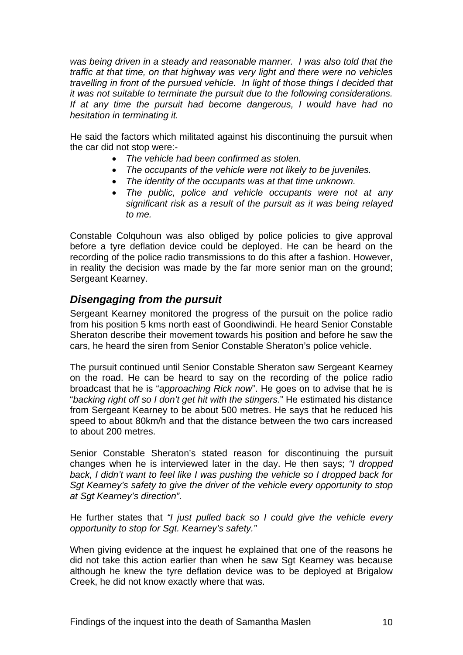<span id="page-11-0"></span>was being driven in a steady and reasonable manner. I was also told that the *traffic at that time, on that highway was very light and there were no vehicles travelling in front of the pursued vehicle. In light of those things I decided that it was not suitable to terminate the pursuit due to the following considerations. If at any time the pursuit had become dangerous, I would have had no hesitation in terminating it.* 

He said the factors which militated against his discontinuing the pursuit when the car did not stop were:-

- *The vehicle had been confirmed as stolen.*
- *The occupants of the vehicle were not likely to be juveniles.*
- *The identity of the occupants was at that time unknown.*
- *The public, police and vehicle occupants were not at any significant risk as a result of the pursuit as it was being relayed to me.*

Constable Colquhoun was also obliged by police policies to give approval before a tyre deflation device could be deployed. He can be heard on the recording of the police radio transmissions to do this after a fashion. However, in reality the decision was made by the far more senior man on the ground; Sergeant Kearney.

#### *Disengaging from the pursuit*

Sergeant Kearney monitored the progress of the pursuit on the police radio from his position 5 kms north east of Goondiwindi. He heard Senior Constable Sheraton describe their movement towards his position and before he saw the cars, he heard the siren from Senior Constable Sheraton's police vehicle.

The pursuit continued until Senior Constable Sheraton saw Sergeant Kearney on the road. He can be heard to say on the recording of the police radio broadcast that he is "*approaching Rick now*". He goes on to advise that he is "*backing right off so I don't get hit with the stingers*." He estimated his distance from Sergeant Kearney to be about 500 metres. He says that he reduced his speed to about 80km/h and that the distance between the two cars increased to about 200 metres.

Senior Constable Sheraton's stated reason for discontinuing the pursuit changes when he is interviewed later in the day. He then says; *"I dropped*  back, I didn't want to feel like I was pushing the vehicle so I dropped back for *Sgt Kearney's safety to give the driver of the vehicle every opportunity to stop at Sgt Kearney's direction".*

He further states that *"I just pulled back so I could give the vehicle every opportunity to stop for Sgt. Kearney's safety."* 

When giving evidence at the inquest he explained that one of the reasons he did not take this action earlier than when he saw Sgt Kearney was because although he knew the tyre deflation device was to be deployed at Brigalow Creek, he did not know exactly where that was.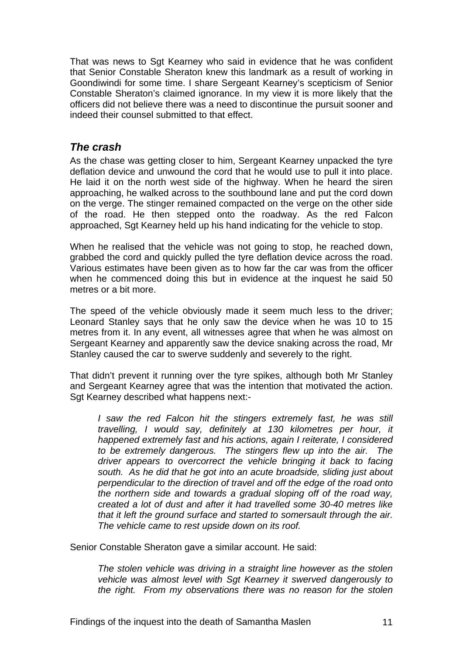<span id="page-12-0"></span>That was news to Sgt Kearney who said in evidence that he was confident that Senior Constable Sheraton knew this landmark as a result of working in Goondiwindi for some time. I share Sergeant Kearney's scepticism of Senior Constable Sheraton's claimed ignorance. In my view it is more likely that the officers did not believe there was a need to discontinue the pursuit sooner and indeed their counsel submitted to that effect.

#### *The crash*

As the chase was getting closer to him, Sergeant Kearney unpacked the tyre deflation device and unwound the cord that he would use to pull it into place. He laid it on the north west side of the highway. When he heard the siren approaching, he walked across to the southbound lane and put the cord down on the verge. The stinger remained compacted on the verge on the other side of the road. He then stepped onto the roadway. As the red Falcon approached, Sgt Kearney held up his hand indicating for the vehicle to stop.

When he realised that the vehicle was not going to stop, he reached down, grabbed the cord and quickly pulled the tyre deflation device across the road. Various estimates have been given as to how far the car was from the officer when he commenced doing this but in evidence at the inquest he said 50 metres or a bit more.

The speed of the vehicle obviously made it seem much less to the driver; Leonard Stanley says that he only saw the device when he was 10 to 15 metres from it. In any event, all witnesses agree that when he was almost on Sergeant Kearney and apparently saw the device snaking across the road, Mr Stanley caused the car to swerve suddenly and severely to the right.

That didn't prevent it running over the tyre spikes, although both Mr Stanley and Sergeant Kearney agree that was the intention that motivated the action. Sgt Kearney described what happens next:-

*I* saw the red Falcon hit the stingers extremely fast, he was still *travelling, I would say, definitely at 130 kilometres per hour, it happened extremely fast and his actions, again I reiterate, I considered to be extremely dangerous. The stingers flew up into the air. The driver appears to overcorrect the vehicle bringing it back to facing south. As he did that he got into an acute broadside, sliding just about perpendicular to the direction of travel and off the edge of the road onto the northern side and towards a gradual sloping off of the road way, created a lot of dust and after it had travelled some 30-40 metres like that it left the ground surface and started to somersault through the air. The vehicle came to rest upside down on its roof.* 

Senior Constable Sheraton gave a similar account. He said:

*The stolen vehicle was driving in a straight line however as the stolen vehicle was almost level with Sgt Kearney it swerved dangerously to the right. From my observations there was no reason for the stolen*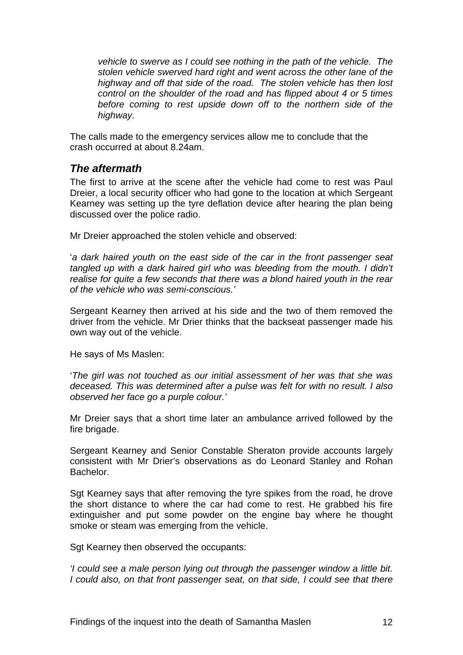<span id="page-13-0"></span>*vehicle to swerve as I could see nothing in the path of the vehicle. The stolen vehicle swerved hard right and went across the other lane of the highway and off that side of the road. The stolen vehicle has then lost control on the shoulder of the road and has flipped about 4 or 5 times before coming to rest upside down off to the northern side of the highway.* 

The calls made to the emergency services allow me to conclude that the crash occurred at about 8.24am.

#### *The aftermath*

The first to arrive at the scene after the vehicle had come to rest was Paul Dreier, a local security officer who had gone to the location at which Sergeant Kearney was setting up the tyre deflation device after hearing the plan being discussed over the police radio.

Mr Dreier approached the stolen vehicle and observed:

'*a dark haired youth on the east side of the car in the front passenger seat tangled up with a dark haired girl who was bleeding from the mouth. I didn't realise for quite a few seconds that there was a blond haired youth in the rear of the vehicle who was semi-conscious.'* 

Sergeant Kearney then arrived at his side and the two of them removed the driver from the vehicle. Mr Drier thinks that the backseat passenger made his own way out of the vehicle.

He says of Ms Maslen:

'*The girl was not touched as our initial assessment of her was that she was deceased. This was determined after a pulse was felt for with no result. I also observed her face go a purple colour.'*

Mr Dreier says that a short time later an ambulance arrived followed by the fire brigade.

Sergeant Kearney and Senior Constable Sheraton provide accounts largely consistent with Mr Drier's observations as do Leonard Stanley and Rohan Bachelor.

Sgt Kearney says that after removing the tyre spikes from the road, he drove the short distance to where the car had come to rest. He grabbed his fire extinguisher and put some powder on the engine bay where he thought smoke or steam was emerging from the vehicle.

Sgt Kearney then observed the occupants:

*'I could see a male person lying out through the passenger window a little bit. I* could also, on that front passenger seat, on that side, I could see that there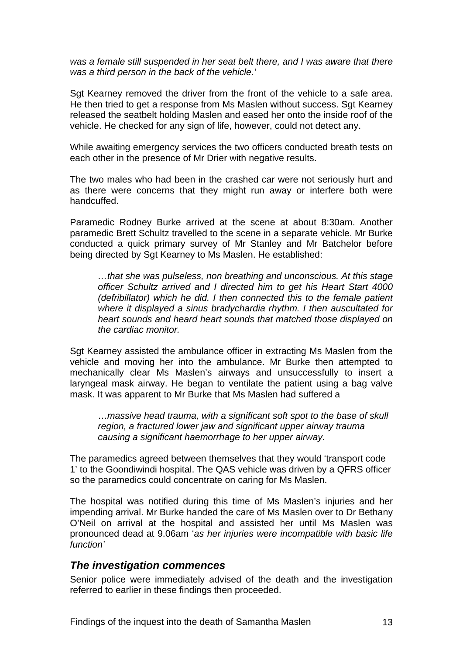<span id="page-14-0"></span>was a female still suspended in her seat belt there, and I was aware that there *was a third person in the back of the vehicle.'*

Sgt Kearney removed the driver from the front of the vehicle to a safe area. He then tried to get a response from Ms Maslen without success. Sgt Kearney released the seatbelt holding Maslen and eased her onto the inside roof of the vehicle. He checked for any sign of life, however, could not detect any.

While awaiting emergency services the two officers conducted breath tests on each other in the presence of Mr Drier with negative results.

The two males who had been in the crashed car were not seriously hurt and as there were concerns that they might run away or interfere both were handcuffed.

Paramedic Rodney Burke arrived at the scene at about 8:30am. Another paramedic Brett Schultz travelled to the scene in a separate vehicle. Mr Burke conducted a quick primary survey of Mr Stanley and Mr Batchelor before being directed by Sgt Kearney to Ms Maslen. He established:

*…that she was pulseless, non breathing and unconscious. At this stage officer Schultz arrived and I directed him to get his Heart Start 4000 (defribillator) which he did. I then connected this to the female patient where it displayed a sinus bradychardia rhythm. I then auscultated for heart sounds and heard heart sounds that matched those displayed on the cardiac monitor.* 

Sgt Kearney assisted the ambulance officer in extracting Ms Maslen from the vehicle and moving her into the ambulance. Mr Burke then attempted to mechanically clear Ms Maslen's airways and unsuccessfully to insert a laryngeal mask airway. He began to ventilate the patient using a bag valve mask. It was apparent to Mr Burke that Ms Maslen had suffered a

…*massive head trauma, with a significant soft spot to the base of skull region, a fractured lower jaw and significant upper airway trauma causing a significant haemorrhage to her upper airway.* 

The paramedics agreed between themselves that they would 'transport code 1' to the Goondiwindi hospital. The QAS vehicle was driven by a QFRS officer so the paramedics could concentrate on caring for Ms Maslen.

The hospital was notified during this time of Ms Maslen's injuries and her impending arrival. Mr Burke handed the care of Ms Maslen over to Dr Bethany O'Neil on arrival at the hospital and assisted her until Ms Maslen was pronounced dead at 9.06am '*as her injuries were incompatible with basic life function'*

#### *The investigation commences*

Senior police were immediately advised of the death and the investigation referred to earlier in these findings then proceeded.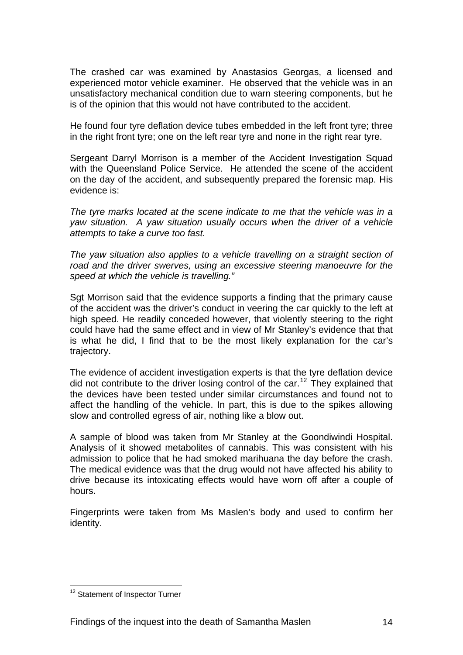The crashed car was examined by Anastasios Georgas, a licensed and experienced motor vehicle examiner. He observed that the vehicle was in an unsatisfactory mechanical condition due to warn steering components, but he is of the opinion that this would not have contributed to the accident.

He found four tyre deflation device tubes embedded in the left front tyre; three in the right front tyre; one on the left rear tyre and none in the right rear tyre.

Sergeant Darryl Morrison is a member of the Accident Investigation Squad with the Queensland Police Service. He attended the scene of the accident on the day of the accident, and subsequently prepared the forensic map. His evidence is:

*The tyre marks located at the scene indicate to me that the vehicle was in a yaw situation. A yaw situation usually occurs when the driver of a vehicle attempts to take a curve too fast.* 

The yaw situation also applies to a vehicle travelling on a straight section of *road and the driver swerves, using an excessive steering manoeuvre for the speed at which the vehicle is travelling."* 

Sgt Morrison said that the evidence supports a finding that the primary cause of the accident was the driver's conduct in veering the car quickly to the left at high speed. He readily conceded however, that violently steering to the right could have had the same effect and in view of Mr Stanley's evidence that that is what he did, I find that to be the most likely explanation for the car's trajectory.

The evidence of accident investigation experts is that the tyre deflation device did not contribute to the driver losing control of the car.<sup>[12](#page-15-0)</sup> They explained that the devices have been tested under similar circumstances and found not to affect the handling of the vehicle. In part, this is due to the spikes allowing slow and controlled egress of air, nothing like a blow out.

A sample of blood was taken from Mr Stanley at the Goondiwindi Hospital. Analysis of it showed metabolites of cannabis. This was consistent with his admission to police that he had smoked marihuana the day before the crash. The medical evidence was that the drug would not have affected his ability to drive because its intoxicating effects would have worn off after a couple of hours.

Fingerprints were taken from Ms Maslen's body and used to confirm her identity.

<span id="page-15-0"></span><sup>1</sup> <sup>12</sup> Statement of Inspector Turner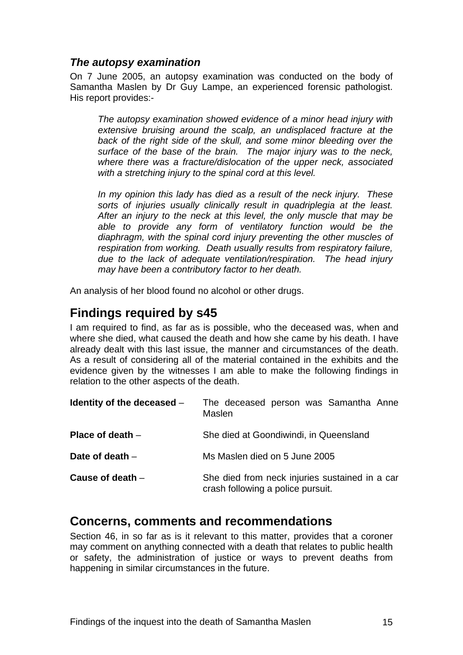#### <span id="page-16-0"></span>*The autopsy examination*

On 7 June 2005, an autopsy examination was conducted on the body of Samantha Maslen by Dr Guy Lampe, an experienced forensic pathologist. His report provides:-

*The autopsy examination showed evidence of a minor head injury with extensive bruising around the scalp, an undisplaced fracture at the*  back of the right side of the skull, and some minor bleeding over the *surface of the base of the brain. The major injury was to the neck, where there was a fracture/dislocation of the upper neck, associated with a stretching injury to the spinal cord at this level.* 

*In my opinion this lady has died as a result of the neck injury. These sorts of injuries usually clinically result in quadriplegia at the least. After an injury to the neck at this level, the only muscle that may be able to provide any form of ventilatory function would be the diaphragm, with the spinal cord injury preventing the other muscles of respiration from working. Death usually results from respiratory failure, due to the lack of adequate ventilation/respiration. The head injury may have been a contributory factor to her death.* 

An analysis of her blood found no alcohol or other drugs.

# **Findings required by s45**

I am required to find, as far as is possible, who the deceased was, when and where she died, what caused the death and how she came by his death. I have already dealt with this last issue, the manner and circumstances of the death. As a result of considering all of the material contained in the exhibits and the evidence given by the witnesses I am able to make the following findings in relation to the other aspects of the death.

| Identity of the deceased $-$ | The deceased person was Samantha Anne<br>Maslen                                     |
|------------------------------|-------------------------------------------------------------------------------------|
| Place of death $-$           | She died at Goondiwindi, in Queensland                                              |
| Date of death $-$            | Ms Maslen died on 5 June 2005                                                       |
| Cause of death $-$           | She died from neck injuries sustained in a car<br>crash following a police pursuit. |

## **Concerns, comments and recommendations**

Section 46, in so far as is it relevant to this matter, provides that a coroner may comment on anything connected with a death that relates to public health or safety, the administration of justice or ways to prevent deaths from happening in similar circumstances in the future.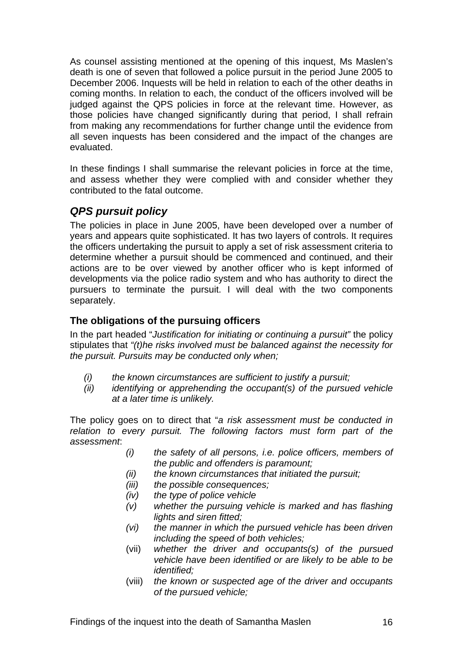<span id="page-17-0"></span>As counsel assisting mentioned at the opening of this inquest, Ms Maslen's death is one of seven that followed a police pursuit in the period June 2005 to December 2006. Inquests will be held in relation to each of the other deaths in coming months. In relation to each, the conduct of the officers involved will be judged against the QPS policies in force at the relevant time. However, as those policies have changed significantly during that period, I shall refrain from making any recommendations for further change until the evidence from all seven inquests has been considered and the impact of the changes are evaluated.

In these findings I shall summarise the relevant policies in force at the time, and assess whether they were complied with and consider whether they contributed to the fatal outcome.

## *QPS pursuit policy*

The policies in place in June 2005, have been developed over a number of years and appears quite sophisticated. It has two layers of controls. It requires the officers undertaking the pursuit to apply a set of risk assessment criteria to determine whether a pursuit should be commenced and continued, and their actions are to be over viewed by another officer who is kept informed of developments via the police radio system and who has authority to direct the pursuers to terminate the pursuit. I will deal with the two components separately.

#### **The obligations of the pursuing officers**

In the part headed "*Justification for initiating or continuing a pursuit"* the policy stipulates that *"(t)he risks involved must be balanced against the necessity for the pursuit. Pursuits may be conducted only when;* 

- *(i) the known circumstances are sufficient to justify a pursuit;*
- *(ii) identifying or apprehending the occupant(s) of the pursued vehicle at a later time is unlikely.*

The policy goes on to direct that "*a risk assessment must be conducted in relation to every pursuit. The following factors must form part of the assessment*:

- *(i) the safety of all persons, i.e. police officers, members of the public and offenders is paramount;*
- *(ii) the known circumstances that initiated the pursuit;*
- *(iii) the possible consequences;*
- *(iv) the type of police vehicle*
- *(v) whether the pursuing vehicle is marked and has flashing lights and siren fitted;*
- *(vi) the manner in which the pursued vehicle has been driven including the speed of both vehicles;*
- (vii) *whether the driver and occupants(s) of the pursued vehicle have been identified or are likely to be able to be identified;*
- (viii) *the known or suspected age of the driver and occupants of the pursued vehicle;*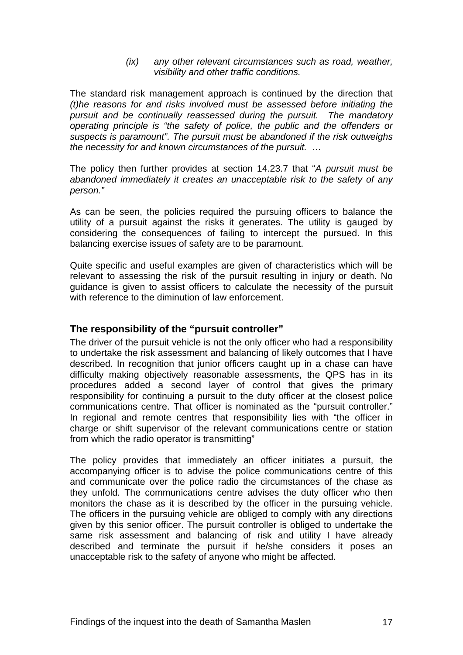*(ix) any other relevant circumstances such as road, weather, visibility and other traffic conditions.*

<span id="page-18-0"></span>The standard risk management approach is continued by the direction that *(t)he reasons for and risks involved must be assessed before initiating the pursuit and be continually reassessed during the pursuit. The mandatory operating principle is "the safety of police, the public and the offenders or suspects is paramount". The pursuit must be abandoned if the risk outweighs the necessity for and known circumstances of the pursuit. …* 

The policy then further provides at section 14.23.7 that "*A pursuit must be abandoned immediately it creates an unacceptable risk to the safety of any person."* 

As can be seen, the policies required the pursuing officers to balance the utility of a pursuit against the risks it generates. The utility is gauged by considering the consequences of failing to intercept the pursued. In this balancing exercise issues of safety are to be paramount.

Quite specific and useful examples are given of characteristics which will be relevant to assessing the risk of the pursuit resulting in injury or death. No guidance is given to assist officers to calculate the necessity of the pursuit with reference to the diminution of law enforcement.

#### **The responsibility of the "pursuit controller"**

The driver of the pursuit vehicle is not the only officer who had a responsibility to undertake the risk assessment and balancing of likely outcomes that I have described. In recognition that junior officers caught up in a chase can have difficulty making objectively reasonable assessments, the QPS has in its procedures added a second layer of control that gives the primary responsibility for continuing a pursuit to the duty officer at the closest police communications centre. That officer is nominated as the "pursuit controller." In regional and remote centres that responsibility lies with "the officer in charge or shift supervisor of the relevant communications centre or station from which the radio operator is transmitting"

The policy provides that immediately an officer initiates a pursuit, the accompanying officer is to advise the police communications centre of this and communicate over the police radio the circumstances of the chase as they unfold. The communications centre advises the duty officer who then monitors the chase as it is described by the officer in the pursuing vehicle. The officers in the pursuing vehicle are obliged to comply with any directions given by this senior officer. The pursuit controller is obliged to undertake the same risk assessment and balancing of risk and utility I have already described and terminate the pursuit if he/she considers it poses an unacceptable risk to the safety of anyone who might be affected.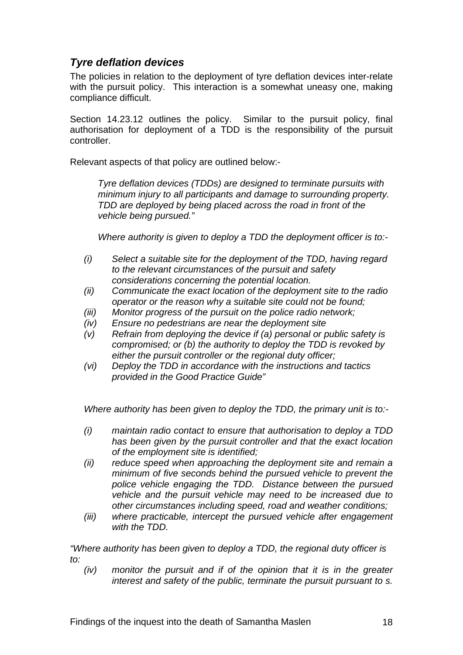### <span id="page-19-0"></span>*Tyre deflation devices*

The policies in relation to the deployment of tyre deflation devices inter-relate with the pursuit policy. This interaction is a somewhat uneasy one, making compliance difficult.

Section 14.23.12 outlines the policy. Similar to the pursuit policy, final authorisation for deployment of a TDD is the responsibility of the pursuit controller.

Relevant aspects of that policy are outlined below:-

*Tyre deflation devices (TDDs) are designed to terminate pursuits with minimum injury to all participants and damage to surrounding property. TDD are deployed by being placed across the road in front of the vehicle being pursued."* 

*Where authority is given to deploy a TDD the deployment officer is to:-* 

- *(i) Select a suitable site for the deployment of the TDD, having regard to the relevant circumstances of the pursuit and safety considerations concerning the potential location.*
- *(ii) Communicate the exact location of the deployment site to the radio operator or the reason why a suitable site could not be found;*
- *(iii) Monitor progress of the pursuit on the police radio network;*
- *(iv) Ensure no pedestrians are near the deployment site*
- *(v) Refrain from deploying the device if (a) personal or public safety is compromised; or (b) the authority to deploy the TDD is revoked by either the pursuit controller or the regional duty officer;*
- *(vi) Deploy the TDD in accordance with the instructions and tactics provided in the Good Practice Guide"*

*Where authority has been given to deploy the TDD, the primary unit is to:-* 

- *(i) maintain radio contact to ensure that authorisation to deploy a TDD has been given by the pursuit controller and that the exact location of the employment site is identified;*
- *(ii) reduce speed when approaching the deployment site and remain a minimum of five seconds behind the pursued vehicle to prevent the police vehicle engaging the TDD. Distance between the pursued vehicle and the pursuit vehicle may need to be increased due to other circumstances including speed, road and weather conditions;*
- *(iii) where practicable, intercept the pursued vehicle after engagement with the TDD.*

*"Where authority has been given to deploy a TDD, the regional duty officer is to:* 

*(iv) monitor the pursuit and if of the opinion that it is in the greater interest and safety of the public, terminate the pursuit pursuant to s.*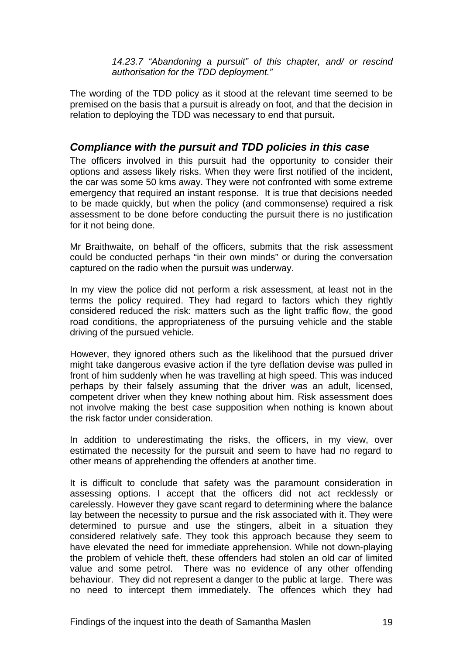*14.23.7 "Abandoning a pursuit" of this chapter, and/ or rescind authorisation for the TDD deployment."* 

<span id="page-20-0"></span>The wording of the TDD policy as it stood at the relevant time seemed to be premised on the basis that a pursuit is already on foot, and that the decision in relation to deploying the TDD was necessary to end that pursuit**.** 

#### *Compliance with the pursuit and TDD policies in this case*

The officers involved in this pursuit had the opportunity to consider their options and assess likely risks. When they were first notified of the incident, the car was some 50 kms away. They were not confronted with some extreme emergency that required an instant response. It is true that decisions needed to be made quickly, but when the policy (and commonsense) required a risk assessment to be done before conducting the pursuit there is no justification for it not being done.

Mr Braithwaite, on behalf of the officers, submits that the risk assessment could be conducted perhaps "in their own minds" or during the conversation captured on the radio when the pursuit was underway.

In my view the police did not perform a risk assessment, at least not in the terms the policy required. They had regard to factors which they rightly considered reduced the risk: matters such as the light traffic flow, the good road conditions, the appropriateness of the pursuing vehicle and the stable driving of the pursued vehicle.

However, they ignored others such as the likelihood that the pursued driver might take dangerous evasive action if the tyre deflation devise was pulled in front of him suddenly when he was travelling at high speed. This was induced perhaps by their falsely assuming that the driver was an adult, licensed, competent driver when they knew nothing about him. Risk assessment does not involve making the best case supposition when nothing is known about the risk factor under consideration.

In addition to underestimating the risks, the officers, in my view, over estimated the necessity for the pursuit and seem to have had no regard to other means of apprehending the offenders at another time.

It is difficult to conclude that safety was the paramount consideration in assessing options. I accept that the officers did not act recklessly or carelessly. However they gave scant regard to determining where the balance lay between the necessity to pursue and the risk associated with it. They were determined to pursue and use the stingers, albeit in a situation they considered relatively safe. They took this approach because they seem to have elevated the need for immediate apprehension. While not down-playing the problem of vehicle theft, these offenders had stolen an old car of limited value and some petrol. There was no evidence of any other offending behaviour. They did not represent a danger to the public at large. There was no need to intercept them immediately. The offences which they had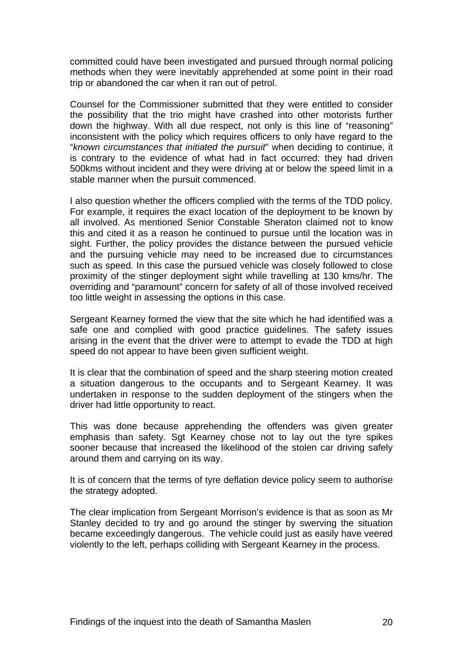committed could have been investigated and pursued through normal policing methods when they were inevitably apprehended at some point in their road trip or abandoned the car when it ran out of petrol.

Counsel for the Commissioner submitted that they were entitled to consider the possibility that the trio might have crashed into other motorists further down the highway. With all due respect, not only is this line of "reasoning" inconsistent with the policy which requires officers to only have regard to the "*known circumstances that initiated the pursuit*" when deciding to continue, it is contrary to the evidence of what had in fact occurred: they had driven 500kms without incident and they were driving at or below the speed limit in a stable manner when the pursuit commenced.

I also question whether the officers complied with the terms of the TDD policy. For example, it requires the exact location of the deployment to be known by all involved. As mentioned Senior Constable Sheraton claimed not to know this and cited it as a reason he continued to pursue until the location was in sight. Further, the policy provides the distance between the pursued vehicle and the pursuing vehicle may need to be increased due to circumstances such as speed. In this case the pursued vehicle was closely followed to close proximity of the stinger deployment sight while travelling at 130 kms/hr. The overriding and "paramount" concern for safety of all of those involved received too little weight in assessing the options in this case.

Sergeant Kearney formed the view that the site which he had identified was a safe one and complied with good practice guidelines. The safety issues arising in the event that the driver were to attempt to evade the TDD at high speed do not appear to have been given sufficient weight.

It is clear that the combination of speed and the sharp steering motion created a situation dangerous to the occupants and to Sergeant Kearney. It was undertaken in response to the sudden deployment of the stingers when the driver had little opportunity to react.

This was done because apprehending the offenders was given greater emphasis than safety. Sgt Kearney chose not to lay out the tyre spikes sooner because that increased the likelihood of the stolen car driving safely around them and carrying on its way.

It is of concern that the terms of tyre deflation device policy seem to authorise the strategy adopted.

The clear implication from Sergeant Morrison's evidence is that as soon as Mr Stanley decided to try and go around the stinger by swerving the situation became exceedingly dangerous. The vehicle could just as easily have veered violently to the left, perhaps colliding with Sergeant Kearney in the process.